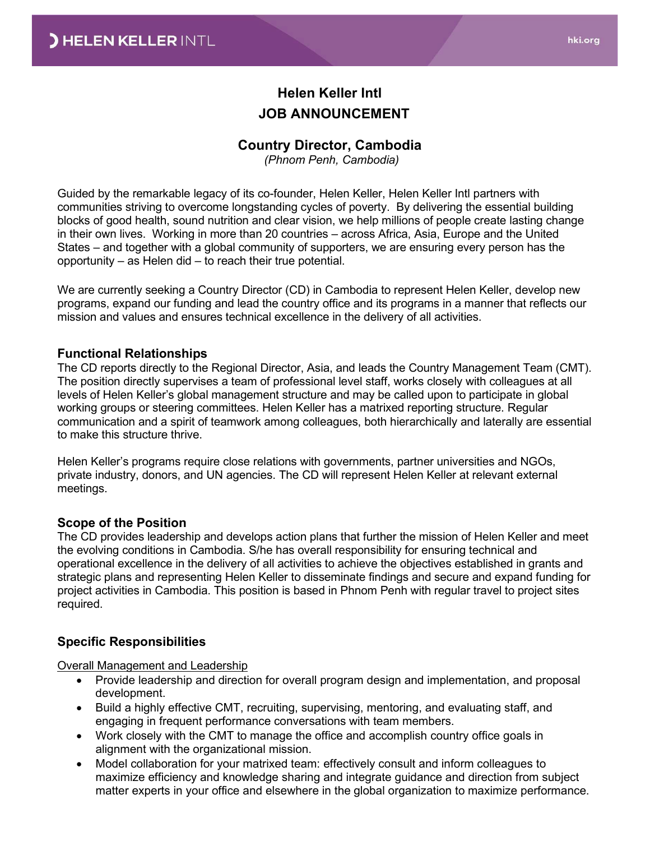# **Helen Keller Intl JOB ANNOUNCEMENT**

## **Country Director, Cambodia**

*(Phnom Penh, Cambodia)*

Guided by the remarkable legacy of its co-founder, Helen Keller, Helen Keller Intl partners with communities striving to overcome longstanding cycles of poverty. By delivering the essential building blocks of good health, sound nutrition and clear vision, we help millions of people create lasting change in their own lives. Working in more than 20 countries – across Africa, Asia, Europe and the United States – and together with a global community of supporters, we are ensuring every person has the opportunity – as Helen did – to reach their true potential.

We are currently seeking a Country Director (CD) in Cambodia to represent Helen Keller, develop new programs, expand our funding and lead the country office and its programs in a manner that reflects our mission and values and ensures technical excellence in the delivery of all activities.

#### **Functional Relationships**

The CD reports directly to the Regional Director, Asia, and leads the Country Management Team (CMT). The position directly supervises a team of professional level staff, works closely with colleagues at all levels of Helen Keller's global management structure and may be called upon to participate in global working groups or steering committees. Helen Keller has a matrixed reporting structure. Regular communication and a spirit of teamwork among colleagues, both hierarchically and laterally are essential to make this structure thrive.

Helen Keller's programs require close relations with governments, partner universities and NGOs, private industry, donors, and UN agencies. The CD will represent Helen Keller at relevant external meetings.

### **Scope of the Position**

The CD provides leadership and develops action plans that further the mission of Helen Keller and meet the evolving conditions in Cambodia. S/he has overall responsibility for ensuring technical and operational excellence in the delivery of all activities to achieve the objectives established in grants and strategic plans and representing Helen Keller to disseminate findings and secure and expand funding for project activities in Cambodia. This position is based in Phnom Penh with regular travel to project sites required.

### **Specific Responsibilities**

Overall Management and Leadership

- Provide leadership and direction for overall program design and implementation, and proposal development.
- Build a highly effective CMT, recruiting, supervising, mentoring, and evaluating staff, and engaging in frequent performance conversations with team members.
- Work closely with the CMT to manage the office and accomplish country office goals in alignment with the organizational mission.
- Model collaboration for your matrixed team: effectively consult and inform colleagues to maximize efficiency and knowledge sharing and integrate guidance and direction from subject matter experts in your office and elsewhere in the global organization to maximize performance.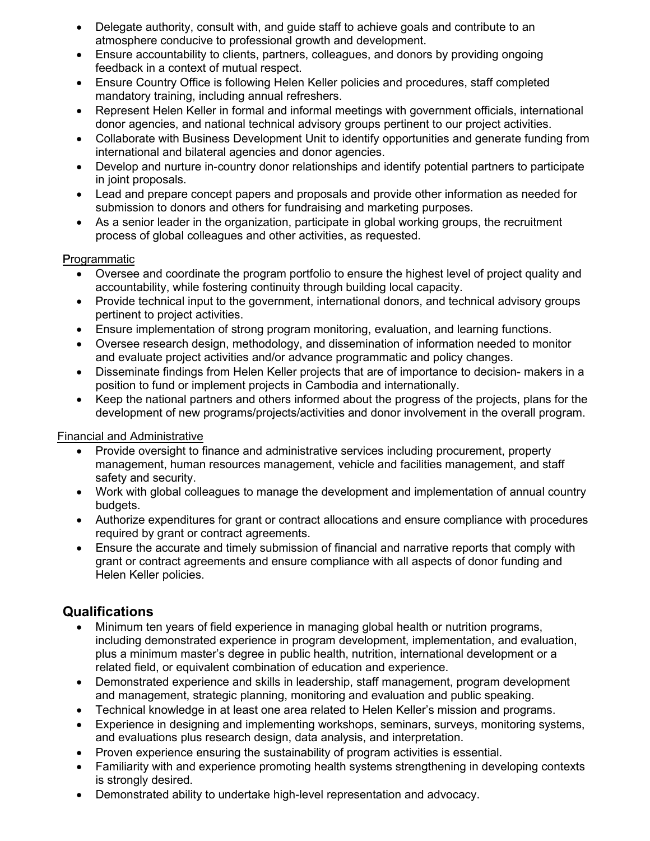- Delegate authority, consult with, and guide staff to achieve goals and contribute to an atmosphere conducive to professional growth and development.
- Ensure accountability to clients, partners, colleagues, and donors by providing ongoing feedback in a context of mutual respect.
- Ensure Country Office is following Helen Keller policies and procedures, staff completed mandatory training, including annual refreshers.
- Represent Helen Keller in formal and informal meetings with government officials, international donor agencies, and national technical advisory groups pertinent to our project activities.
- Collaborate with Business Development Unit to identify opportunities and generate funding from international and bilateral agencies and donor agencies.
- Develop and nurture in-country donor relationships and identify potential partners to participate in joint proposals.
- Lead and prepare concept papers and proposals and provide other information as needed for submission to donors and others for fundraising and marketing purposes.
- As a senior leader in the organization, participate in global working groups, the recruitment process of global colleagues and other activities, as requested.

### Programmatic

- Oversee and coordinate the program portfolio to ensure the highest level of project quality and accountability, while fostering continuity through building local capacity.
- Provide technical input to the government, international donors, and technical advisory groups pertinent to project activities.
- Ensure implementation of strong program monitoring, evaluation, and learning functions.
- Oversee research design, methodology, and dissemination of information needed to monitor and evaluate project activities and/or advance programmatic and policy changes.
- Disseminate findings from Helen Keller projects that are of importance to decision- makers in a position to fund or implement projects in Cambodia and internationally.
- Keep the national partners and others informed about the progress of the projects, plans for the development of new programs/projects/activities and donor involvement in the overall program.

### Financial and Administrative

- Provide oversight to finance and administrative services including procurement, property management, human resources management, vehicle and facilities management, and staff safety and security.
- Work with global colleagues to manage the development and implementation of annual country budgets.
- Authorize expenditures for grant or contract allocations and ensure compliance with procedures required by grant or contract agreements.
- Ensure the accurate and timely submission of financial and narrative reports that comply with grant or contract agreements and ensure compliance with all aspects of donor funding and Helen Keller policies.

# **Qualifications**

- Minimum ten years of field experience in managing global health or nutrition programs, including demonstrated experience in program development, implementation, and evaluation, plus a minimum master's degree in public health, nutrition, international development or a related field, or equivalent combination of education and experience.
- Demonstrated experience and skills in leadership, staff management, program development and management, strategic planning, monitoring and evaluation and public speaking.
- Technical knowledge in at least one area related to Helen Keller's mission and programs.
- Experience in designing and implementing workshops, seminars, surveys, monitoring systems, and evaluations plus research design, data analysis, and interpretation.
- Proven experience ensuring the sustainability of program activities is essential.
- Familiarity with and experience promoting health systems strengthening in developing contexts is strongly desired.
- Demonstrated ability to undertake high-level representation and advocacy.